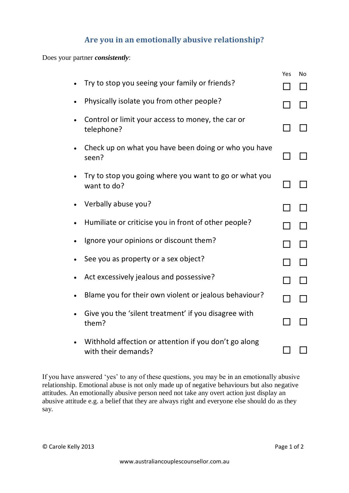## **Are you in an emotionally abusive relationship?**

Does your partner *consistently*:

|           |                                                                              | Yes | No |
|-----------|------------------------------------------------------------------------------|-----|----|
|           | Try to stop you seeing your family or friends?                               |     |    |
|           | Physically isolate you from other people?                                    |     |    |
|           | Control or limit your access to money, the car or<br>telephone?              |     |    |
| $\bullet$ | Check up on what you have been doing or who you have<br>seen?                |     |    |
|           | Try to stop you going where you want to go or what you<br>want to do?        |     |    |
|           | Verbally abuse you?                                                          |     |    |
|           | Humiliate or criticise you in front of other people?                         |     |    |
|           | Ignore your opinions or discount them?                                       |     |    |
|           | See you as property or a sex object?                                         |     |    |
|           | Act excessively jealous and possessive?                                      |     |    |
|           | Blame you for their own violent or jealous behaviour?                        |     |    |
|           | Give you the 'silent treatment' if you disagree with<br>them?                |     |    |
|           | Withhold affection or attention if you don't go along<br>with their demands? |     |    |

If you have answered 'yes' to any of these questions, you may be in an emotionally abusive relationship. Emotional abuse is not only made up of negative behaviours but also negative attitudes. An emotionally abusive person need not take any overt action just display an abusive attitude e.g. a belief that they are always right and everyone else should do as they say.